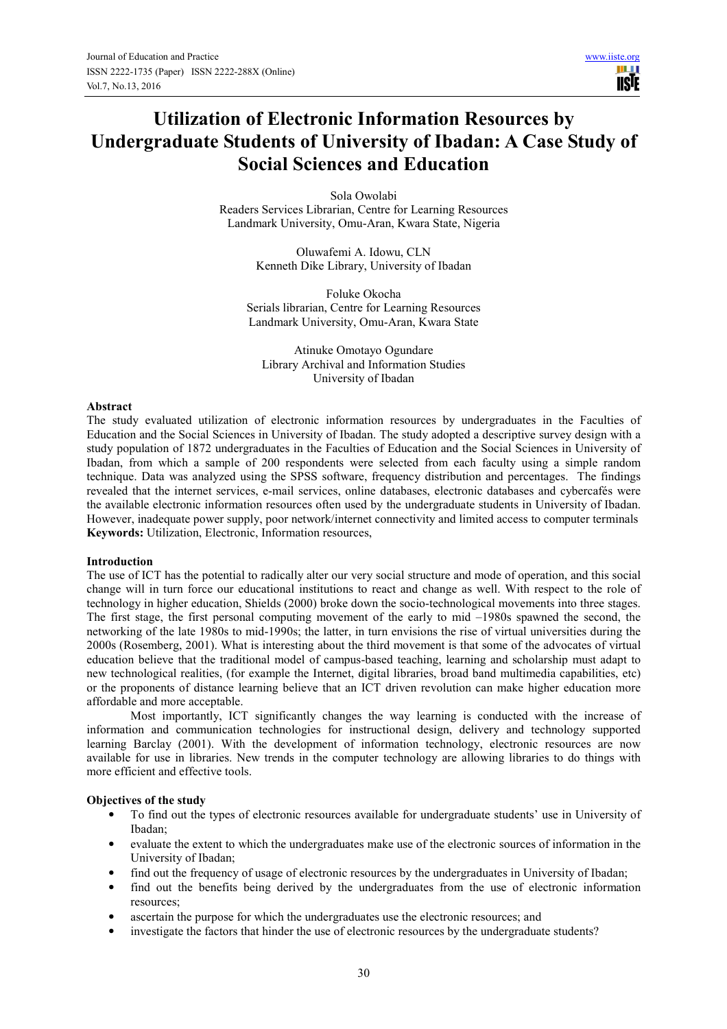**TISIE** 

# **Utilization of Electronic Information Resources by Undergraduate Students of University of Ibadan: A Case Study of Social Sciences and Education**

Sola Owolabi Readers Services Librarian, Centre for Learning Resources Landmark University, Omu-Aran, Kwara State, Nigeria

> Oluwafemi A. Idowu, CLN Kenneth Dike Library, University of Ibadan

Foluke Okocha Serials librarian, Centre for Learning Resources Landmark University, Omu-Aran, Kwara State

Atinuke Omotayo Ogundare Library Archival and Information Studies University of Ibadan

## **Abstract**

The study evaluated utilization of electronic information resources by undergraduates in the Faculties of Education and the Social Sciences in University of Ibadan. The study adopted a descriptive survey design with a study population of 1872 undergraduates in the Faculties of Education and the Social Sciences in University of Ibadan, from which a sample of 200 respondents were selected from each faculty using a simple random technique. Data was analyzed using the SPSS software, frequency distribution and percentages. The findings revealed that the internet services, e-mail services, online databases, electronic databases and cybercafés were the available electronic information resources often used by the undergraduate students in University of Ibadan. However, inadequate power supply, poor network/internet connectivity and limited access to computer terminals **Keywords:** Utilization, Electronic, Information resources,

## **Introduction**

The use of ICT has the potential to radically alter our very social structure and mode of operation, and this social change will in turn force our educational institutions to react and change as well. With respect to the role of technology in higher education, Shields (2000) broke down the socio-technological movements into three stages. The first stage, the first personal computing movement of the early to mid –1980s spawned the second, the networking of the late 1980s to mid-1990s; the latter, in turn envisions the rise of virtual universities during the 2000s (Rosemberg, 2001). What is interesting about the third movement is that some of the advocates of virtual education believe that the traditional model of campus-based teaching, learning and scholarship must adapt to new technological realities, (for example the Internet, digital libraries, broad band multimedia capabilities, etc) or the proponents of distance learning believe that an ICT driven revolution can make higher education more affordable and more acceptable.

Most importantly, ICT significantly changes the way learning is conducted with the increase of information and communication technologies for instructional design, delivery and technology supported learning Barclay (2001). With the development of information technology, electronic resources are now available for use in libraries. New trends in the computer technology are allowing libraries to do things with more efficient and effective tools.

## **Objectives of the study**

- To find out the types of electronic resources available for undergraduate students' use in University of Ibadan;
- evaluate the extent to which the undergraduates make use of the electronic sources of information in the University of Ibadan;
- find out the frequency of usage of electronic resources by the undergraduates in University of Ibadan;
- find out the benefits being derived by the undergraduates from the use of electronic information resources;
- ascertain the purpose for which the undergraduates use the electronic resources; and
- investigate the factors that hinder the use of electronic resources by the undergraduate students?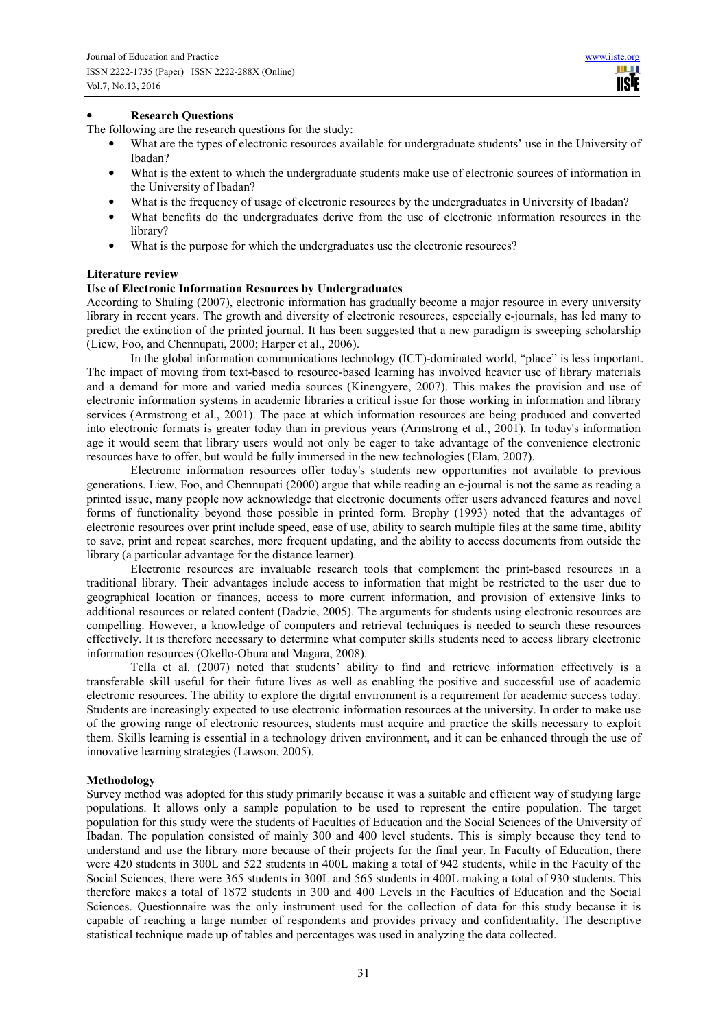**TISIE** 

## • **Research Questions**

The following are the research questions for the study:

- What are the types of electronic resources available for undergraduate students' use in the University of Ibadan?
- What is the extent to which the undergraduate students make use of electronic sources of information in the University of Ibadan?
- What is the frequency of usage of electronic resources by the undergraduates in University of Ibadan?
- What benefits do the undergraduates derive from the use of electronic information resources in the library?
- What is the purpose for which the undergraduates use the electronic resources?

#### **Literature review**

## **Use of Electronic Information Resources by Undergraduates**

According to Shuling (2007), electronic information has gradually become a major resource in every university library in recent years. The growth and diversity of electronic resources, especially e-journals, has led many to predict the extinction of the printed journal. It has been suggested that a new paradigm is sweeping scholarship (Liew, Foo, and Chennupati, 2000; Harper et al., 2006).

In the global information communications technology (ICT)-dominated world, "place" is less important. The impact of moving from text-based to resource-based learning has involved heavier use of library materials and a demand for more and varied media sources (Kinengyere, 2007). This makes the provision and use of electronic information systems in academic libraries a critical issue for those working in information and library services (Armstrong et al., 2001). The pace at which information resources are being produced and converted into electronic formats is greater today than in previous years (Armstrong et al., 2001). In today's information age it would seem that library users would not only be eager to take advantage of the convenience electronic resources have to offer, but would be fully immersed in the new technologies (Elam, 2007).

Electronic information resources offer today's students new opportunities not available to previous generations. Liew, Foo, and Chennupati (2000) argue that while reading an e-journal is not the same as reading a printed issue, many people now acknowledge that electronic documents offer users advanced features and novel forms of functionality beyond those possible in printed form. Brophy (1993) noted that the advantages of electronic resources over print include speed, ease of use, ability to search multiple files at the same time, ability to save, print and repeat searches, more frequent updating, and the ability to access documents from outside the library (a particular advantage for the distance learner).

Electronic resources are invaluable research tools that complement the print-based resources in a traditional library. Their advantages include access to information that might be restricted to the user due to geographical location or finances, access to more current information, and provision of extensive links to additional resources or related content (Dadzie, 2005). The arguments for students using electronic resources are compelling. However, a knowledge of computers and retrieval techniques is needed to search these resources effectively. It is therefore necessary to determine what computer skills students need to access library electronic information resources (Okello-Obura and Magara, 2008).

Tella et al. (2007) noted that students' ability to find and retrieve information effectively is a transferable skill useful for their future lives as well as enabling the positive and successful use of academic electronic resources. The ability to explore the digital environment is a requirement for academic success today. Students are increasingly expected to use electronic information resources at the university. In order to make use of the growing range of electronic resources, students must acquire and practice the skills necessary to exploit them. Skills learning is essential in a technology driven environment, and it can be enhanced through the use of innovative learning strategies (Lawson, 2005).

#### **Methodology**

Survey method was adopted for this study primarily because it was a suitable and efficient way of studying large populations. It allows only a sample population to be used to represent the entire population. The target population for this study were the students of Faculties of Education and the Social Sciences of the University of Ibadan. The population consisted of mainly 300 and 400 level students. This is simply because they tend to understand and use the library more because of their projects for the final year. In Faculty of Education, there were 420 students in 300L and 522 students in 400L making a total of 942 students, while in the Faculty of the Social Sciences, there were 365 students in 300L and 565 students in 400L making a total of 930 students. This therefore makes a total of 1872 students in 300 and 400 Levels in the Faculties of Education and the Social Sciences. Questionnaire was the only instrument used for the collection of data for this study because it is capable of reaching a large number of respondents and provides privacy and confidentiality. The descriptive statistical technique made up of tables and percentages was used in analyzing the data collected.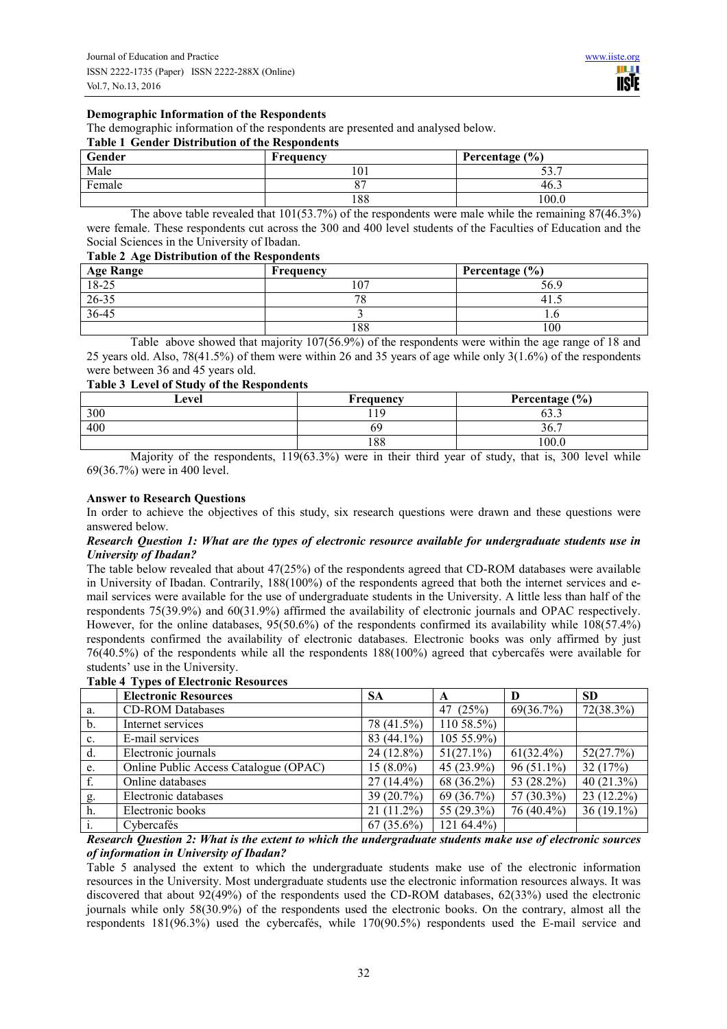#### **Demographic Information of the Respondents**

The demographic information of the respondents are presented and analysed below.

## **Table 1 Gender Distribution of the Respondents**

| Gender | Frequency | Percentage (%) |
|--------|-----------|----------------|
| Male   | 101       | רי ר<br>JJ.    |
| Female | $\sim$    | 46.            |
|        | 188       | 0.00           |

The above table revealed that  $101(53.7%)$  of the respondents were male while the remaining  $87(46.3%)$ were female. These respondents cut across the 300 and 400 level students of the Faculties of Education and the Social Sciences in the University of Ibadan.

### **Table 2 Age Distribution of the Respondents**

| <b>Age Range</b> | Frequency | Percentage $(\% )$ |
|------------------|-----------|--------------------|
| $18-25$          | 107       | 56.9               |
| 26-35            | 7c        |                    |
| 36-45            |           | 1.U                |
|                  | 188       | 100                |

Table above showed that majority 107(56.9%) of the respondents were within the age range of 18 and 25 years old. Also, 78(41.5%) of them were within 26 and 35 years of age while only 3(1.6%) of the respondents were between 36 and 45 years old.

#### **Table 3 Level of Study of the Respondents**

| Level | Frequency | Percentage $(\% )$ |
|-------|-----------|--------------------|
| 300   | l 1 Q     | $\sim$<br>0. CO    |
| 400   | 69        | 30.                |
|       | 188       | 00.0               |

Majority of the respondents, 119(63.3%) were in their third year of study, that is, 300 level while 69(36.7%) were in 400 level.

#### **Answer to Research Questions**

In order to achieve the objectives of this study, six research questions were drawn and these questions were answered below.

## *Research Question 1: What are the types of electronic resource available for undergraduate students use in University of Ibadan?*

The table below revealed that about 47(25%) of the respondents agreed that CD-ROM databases were available in University of Ibadan. Contrarily, 188(100%) of the respondents agreed that both the internet services and email services were available for the use of undergraduate students in the University. A little less than half of the respondents 75(39.9%) and 60(31.9%) affirmed the availability of electronic journals and OPAC respectively. However, for the online databases, 95(50.6%) of the respondents confirmed its availability while 108(57.4%) respondents confirmed the availability of electronic databases. Electronic books was only affirmed by just 76(40.5%) of the respondents while all the respondents 188(100%) agreed that cybercafés were available for students' use in the University.

|    | <b>Electronic Resources</b>           | <b>SA</b>    | A             | D            | <b>SD</b>     |
|----|---------------------------------------|--------------|---------------|--------------|---------------|
| a. | <b>CD-ROM Databases</b>               |              | 47 (25%)      | 69(36.7%)    | $72(38.3\%)$  |
| b. | Internet services                     | 78 (41.5%)   | 110 58.5%)    |              |               |
| c. | E-mail services                       | $83(44.1\%)$ | 105 55.9%)    |              |               |
| d. | Electronic journals                   | $24(12.8\%)$ | $51(27.1\%)$  | $61(32.4\%)$ | 52(27.7%)     |
| e. | Online Public Access Catalogue (OPAC) | $15(8.0\%)$  | 45 $(23.9\%)$ | $96(51.1\%)$ | 32(17%)       |
| f. | Online databases                      | $27(14.4\%)$ | 68 (36.2%)    | 53 (28.2%)   | 40 $(21.3\%)$ |
| g. | Electronic databases                  | 39(20.7%)    | 69 (36.7%)    | 57 (30.3%)   | $23(12.2\%)$  |
| h. | Electronic books                      | $21(11.2\%)$ | 55 (29.3%)    | 76 (40.4%)   | $36(19.1\%)$  |
|    | Cybercafés                            | $67(35.6\%)$ | 121 64.4%)    |              |               |

#### **Table 4 Types of Electronic Resources**

*Research Question 2: What is the extent to which the undergraduate students make use of electronic sources of information in University of Ibadan?*

Table 5 analysed the extent to which the undergraduate students make use of the electronic information resources in the University. Most undergraduate students use the electronic information resources always. It was discovered that about 92(49%) of the respondents used the CD-ROM databases, 62(33%) used the electronic journals while only 58(30.9%) of the respondents used the electronic books. On the contrary, almost all the respondents 181(96.3%) used the cybercafés, while 170(90.5%) respondents used the E-mail service and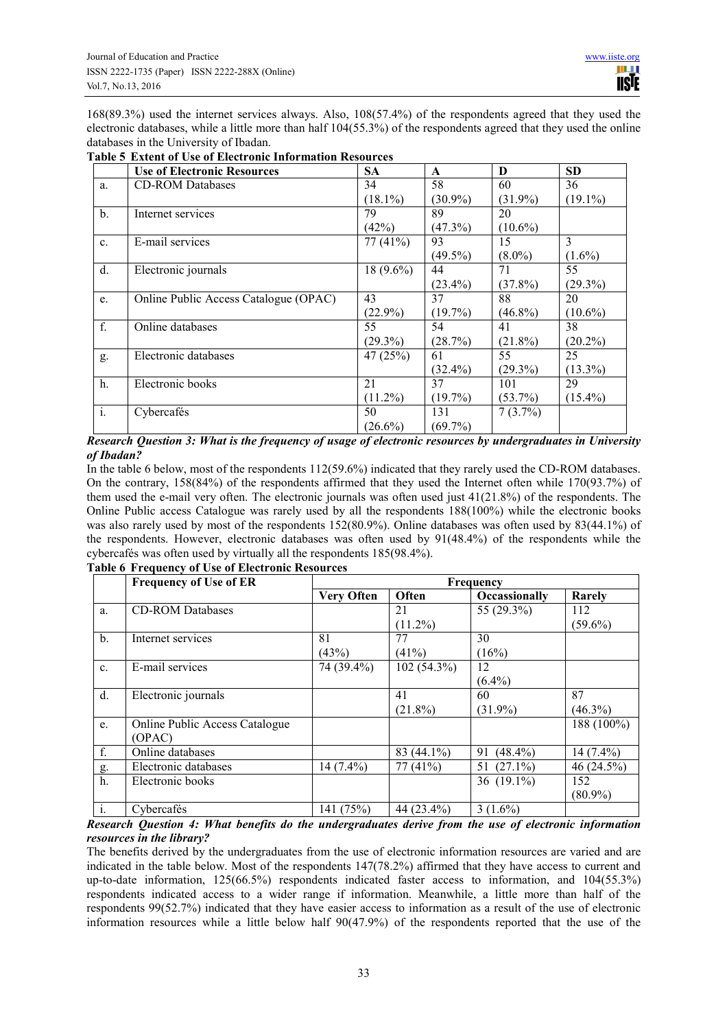168(89.3%) used the internet services always. Also, 108(57.4%) of the respondents agreed that they used the electronic databases, while a little more than half 104(55.3%) of the respondents agreed that they used the online databases in the University of Ibadan.

|                | <b>Use of Electronic Resources</b>    | <b>SA</b>   | $\mathbf{A}$ | D          | <b>SD</b>  |
|----------------|---------------------------------------|-------------|--------------|------------|------------|
| a.             | <b>CD-ROM Databases</b>               | 34          | 58           | 60         | 36         |
|                |                                       | $(18.1\%)$  | $(30.9\%)$   | $(31.9\%)$ | $(19.1\%)$ |
| $\mathbf b$ .  | Internet services                     | 79          | 89           | 20         |            |
|                |                                       | (42%)       | $(47.3\%)$   | $(10.6\%)$ |            |
| C <sub>1</sub> | E-mail services                       | 77(41%)     | 93           | 15         | 3          |
|                |                                       |             | $(49.5\%)$   | $(8.0\%)$  | $(1.6\%)$  |
| d.             | Electronic journals                   | $18(9.6\%)$ | 44           | 71         | 55         |
|                |                                       |             | $(23.4\%)$   | $(37.8\%)$ | $(29.3\%)$ |
| e.             | Online Public Access Catalogue (OPAC) | 43          | 37           | 88         | 20         |
|                |                                       | $(22.9\%)$  | $(19.7\%)$   | $(46.8\%)$ | $(10.6\%)$ |
| f.             | Online databases                      | 55          | 54           | 41         | 38         |
|                |                                       | $(29.3\%)$  | (28.7%)      | $(21.8\%)$ | $(20.2\%)$ |
| g.             | Electronic databases                  | 47(25%)     | 61           | 55         | 25         |
|                |                                       |             | $(32.4\%)$   | $(29.3\%)$ | $(13.3\%)$ |
| h.             | Electronic books                      | 21          | 37           | 101        | 29         |
|                |                                       | $(11.2\%)$  | $(19.7\%)$   | $(53.7\%)$ | $(15.4\%)$ |
| $\mathbf{i}$ . | Cybercafés                            | 50          | 131          | $7(3.7\%)$ |            |
|                |                                       | $(26.6\%)$  | $(69.7\%)$   |            |            |

## **Table 5 Extent of Use of Electronic Information Resources**

*Research Question 3: What is the frequency of usage of electronic resources by undergraduates in University of Ibadan?*

In the table 6 below, most of the respondents 112(59.6%) indicated that they rarely used the CD-ROM databases. On the contrary, 158(84%) of the respondents affirmed that they used the Internet often while 170(93.7%) of them used the e-mail very often. The electronic journals was often used just 41(21.8%) of the respondents. The Online Public access Catalogue was rarely used by all the respondents 188(100%) while the electronic books was also rarely used by most of the respondents 152(80.9%). Online databases was often used by 83(44.1%) of the respondents. However, electronic databases was often used by 91(48.4%) of the respondents while the cybercafés was often used by virtually all the respondents 185(98.4%).

|                | <b>Frequency of Use of ER</b>         | Frequency         |               |               |             |  |
|----------------|---------------------------------------|-------------------|---------------|---------------|-------------|--|
|                |                                       | <b>Very Often</b> | Often         | Occassionally | Rarely      |  |
| a.             | <b>CD-ROM Databases</b>               |                   | 21            | 55 $(29.3\%)$ | 112         |  |
|                |                                       |                   | $(11.2\%)$    |               | $(59.6\%)$  |  |
| $b$ .          | Internet services                     | 81                | 77            | 30            |             |  |
|                |                                       | (43%)             | $(41\%)$      | (16%)         |             |  |
| C <sub>1</sub> | E-mail services                       | 74 (39.4%)        | $102(54.3\%)$ | 12            |             |  |
|                |                                       |                   |               | $(6.4\%)$     |             |  |
| d.             | Electronic journals                   |                   | 41            | 60            | 87          |  |
|                |                                       |                   | $(21.8\%)$    | $(31.9\%)$    | $(46.3\%)$  |  |
| e.             | <b>Online Public Access Catalogue</b> |                   |               |               | 188 (100%)  |  |
|                | (OPAC)                                |                   |               |               |             |  |
| f.             | Online databases                      |                   | $83(44.1\%)$  | 91 (48.4%)    | $14(7.4\%)$ |  |
| g.             | Electronic databases                  | $14(7.4\%)$       | 77(41%)       | 51 $(27.1\%)$ | 46 (24.5%)  |  |
| $h$ .          | Electronic books                      |                   |               | 36 $(19.1\%)$ | 152         |  |
|                |                                       |                   |               |               | $(80.9\%)$  |  |
| $\mathbf{i}$ . | Cybercafés                            | 141 (75%)         | 44 (23.4%)    | $3(1.6\%)$    |             |  |

# **Table 6 Frequency of Use of Electronic Resources**

*Research Question 4: What benefits do the undergraduates derive from the use of electronic information resources in the library?* 

The benefits derived by the undergraduates from the use of electronic information resources are varied and are indicated in the table below. Most of the respondents 147(78.2%) affirmed that they have access to current and up-to-date information, 125(66.5%) respondents indicated faster access to information, and 104(55.3%) respondents indicated access to a wider range if information. Meanwhile, a little more than half of the respondents 99(52.7%) indicated that they have easier access to information as a result of the use of electronic information resources while a little below half 90(47.9%) of the respondents reported that the use of the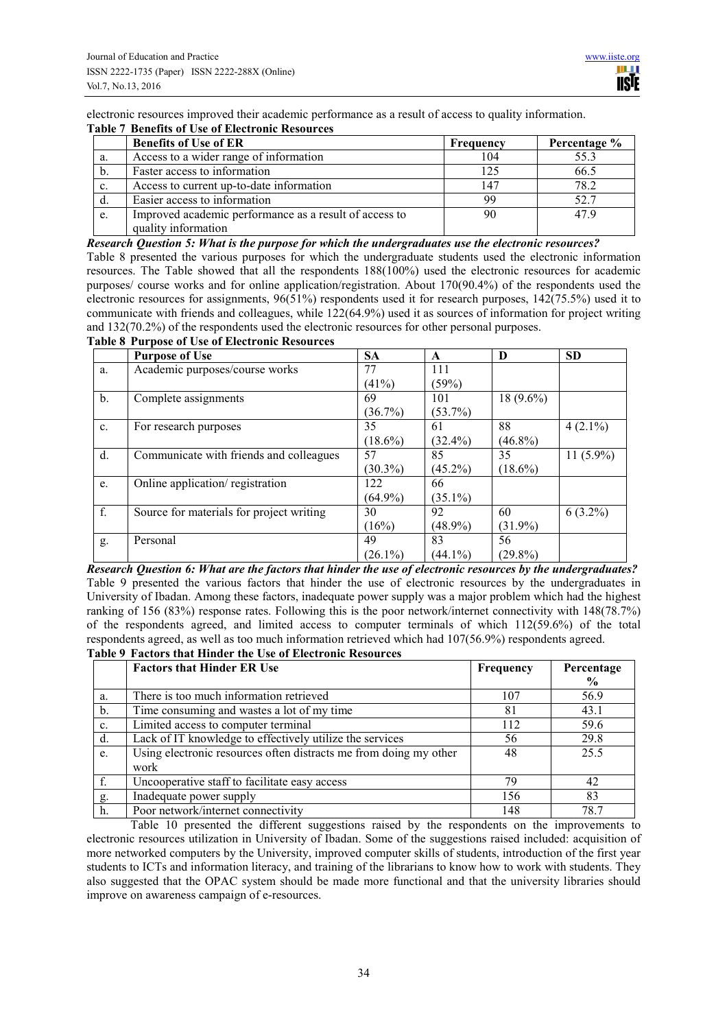electronic resources improved their academic performance as a result of access to quality information.

#### **Table 7 Benefits of Use of Electronic Resources**

|                | <b>Benefits of Use of ER</b>                                                  | Frequency | Percentage % |
|----------------|-------------------------------------------------------------------------------|-----------|--------------|
| a.             | Access to a wider range of information                                        | 104       | 55.3         |
| b.             | Faster access to information                                                  | 125       | 66.5         |
| $\mathbf{c}$ . | Access to current up-to-date information                                      | 147       | 78.2         |
| d.             | Easier access to information                                                  | 99        | 52.7         |
| e.             | Improved academic performance as a result of access to<br>quality information | 90        | 479          |

#### *Research Question 5: What is the purpose for which the undergraduates use the electronic resources?*

Table 8 presented the various purposes for which the undergraduate students used the electronic information resources. The Table showed that all the respondents 188(100%) used the electronic resources for academic purposes/ course works and for online application/registration. About 170(90.4%) of the respondents used the electronic resources for assignments, 96(51%) respondents used it for research purposes, 142(75.5%) used it to communicate with friends and colleagues, while 122(64.9%) used it as sources of information for project writing and 132(70.2%) of the respondents used the electronic resources for other personal purposes.

## **Table 8 Purpose of Use of Electronic Resources**

|                | <b>Purpose of Use</b>                    | <b>SA</b>  | A          | D           | <b>SD</b>    |
|----------------|------------------------------------------|------------|------------|-------------|--------------|
| a.             | Academic purposes/course works           | 77         | 111        |             |              |
|                |                                          | (41%)      | (59%)      |             |              |
| $\mathbf b$ .  | Complete assignments                     | 69         | 101        | $18(9.6\%)$ |              |
|                |                                          | $(36.7\%)$ | $(53.7\%)$ |             |              |
| $\mathbf{c}$ . | For research purposes                    | 35         | 61         | 88          | $4(2.1\%)$   |
|                |                                          | $(18.6\%)$ | $(32.4\%)$ | $(46.8\%)$  |              |
| d.             | Communicate with friends and colleagues  | 57         | 85         | 35          | 11 $(5.9\%)$ |
|                |                                          | $(30.3\%)$ | $(45.2\%)$ | $(18.6\%)$  |              |
| e.             | Online application/registration          | 122        | 66         |             |              |
|                |                                          | $(64.9\%)$ | $(35.1\%)$ |             |              |
| f.             | Source for materials for project writing | 30         | 92         | 60          | $6(3.2\%)$   |
|                |                                          | (16%)      | $(48.9\%)$ | $(31.9\%)$  |              |
| g.             | Personal                                 | 49         | 83         | 56          |              |
|                |                                          | $(26.1\%)$ | $(44.1\%)$ | $(29.8\%)$  |              |

*Research Question 6: What are the factors that hinder the use of electronic resources by the undergraduates?* Table 9 presented the various factors that hinder the use of electronic resources by the undergraduates in University of Ibadan. Among these factors, inadequate power supply was a major problem which had the highest ranking of 156 (83%) response rates. Following this is the poor network/internet connectivity with 148(78.7%) of the respondents agreed, and limited access to computer terminals of which  $112(59.6%)$  of the total respondents agreed, as well as too much information retrieved which had 107(56.9%) respondents agreed.

## **Table 9 Factors that Hinder the Use of Electronic Resources**

|    | <b>Factors that Hinder ER Use</b>                                 | Frequency | Percentage    |
|----|-------------------------------------------------------------------|-----------|---------------|
|    |                                                                   |           | $\frac{0}{0}$ |
| a. | There is too much information retrieved                           | 107       | 56.9          |
| b. | Time consuming and wastes a lot of my time                        | 81        | 43.1          |
| c. | Limited access to computer terminal                               | 112       | 59.6          |
| d. | Lack of IT knowledge to effectively utilize the services          | 56        | 29.8          |
| e. | Using electronic resources often distracts me from doing my other | 48        | 25.5          |
|    | work                                                              |           |               |
|    | Uncooperative staff to facilitate easy access                     | 79        | 42            |
| g. | Inadequate power supply                                           | 156       | 83            |
| h. | Poor network/internet connectivity                                | 148       | 78.7          |

Table 10 presented the different suggestions raised by the respondents on the improvements to electronic resources utilization in University of Ibadan. Some of the suggestions raised included: acquisition of more networked computers by the University, improved computer skills of students, introduction of the first year students to ICTs and information literacy, and training of the librarians to know how to work with students. They also suggested that the OPAC system should be made more functional and that the university libraries should improve on awareness campaign of e-resources.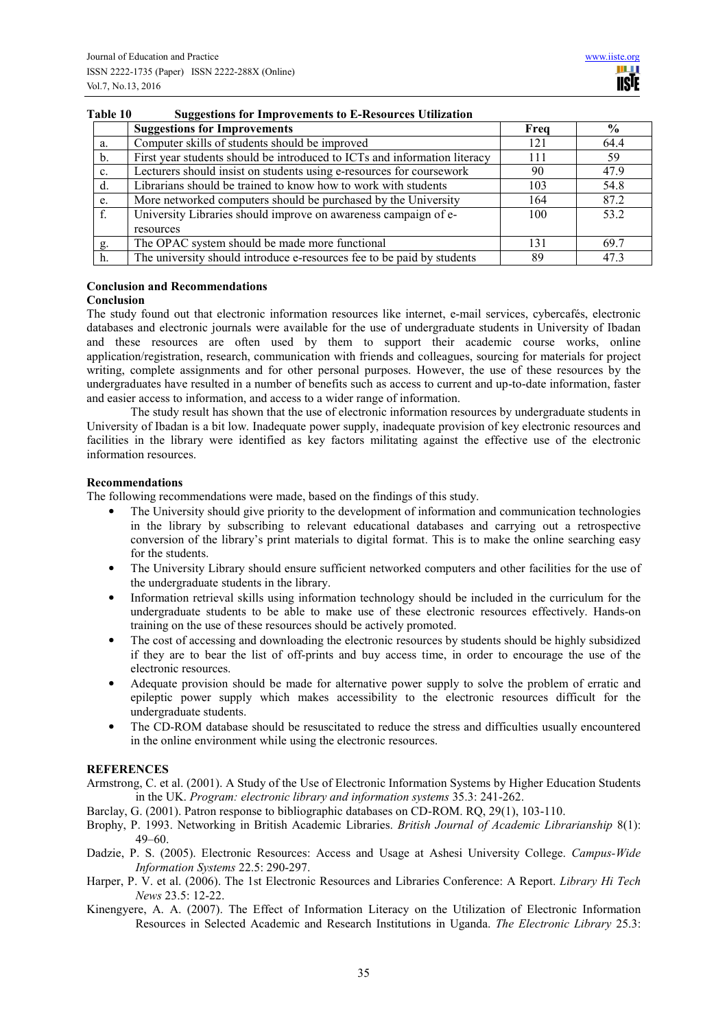|                | <b>Suggestions for Improvements</b>                                          | Freq | $\frac{6}{9}$ |  |  |
|----------------|------------------------------------------------------------------------------|------|---------------|--|--|
| a.             | Computer skills of students should be improved                               | 121  | 64.4          |  |  |
| $\mathbf b$ .  | First year students should be introduced to ICTs and information literacy    | 111  | 59            |  |  |
| $\mathbf{c}$ . | Lecturers should insist on students using e-resources for coursework         | 90   | 47.9          |  |  |
| d.             | Librarians should be trained to know how to work with students               | 103  | 54.8          |  |  |
| e.             | More networked computers should be purchased by the University               | 164  | 87.2          |  |  |
| f.             | University Libraries should improve on awareness campaign of e-<br>resources | 100  | 53.2          |  |  |
| g.             | The OPAC system should be made more functional                               | 131  | 69.7          |  |  |
| h.             | The university should introduce e-resources fee to be paid by students       | 89   | 473           |  |  |

# **Table 10 Suggestions for Improvements to E-Resources Utilization**

# **Conclusion and Recommendations**

## **Conclusion**

The study found out that electronic information resources like internet, e-mail services, cybercafés, electronic databases and electronic journals were available for the use of undergraduate students in University of Ibadan and these resources are often used by them to support their academic course works, online application/registration, research, communication with friends and colleagues, sourcing for materials for project writing, complete assignments and for other personal purposes. However, the use of these resources by the undergraduates have resulted in a number of benefits such as access to current and up-to-date information, faster and easier access to information, and access to a wider range of information.

The study result has shown that the use of electronic information resources by undergraduate students in University of Ibadan is a bit low. Inadequate power supply, inadequate provision of key electronic resources and facilities in the library were identified as key factors militating against the effective use of the electronic information resources.

#### **Recommendations**

The following recommendations were made, based on the findings of this study.

- The University should give priority to the development of information and communication technologies in the library by subscribing to relevant educational databases and carrying out a retrospective conversion of the library's print materials to digital format. This is to make the online searching easy for the students.
- The University Library should ensure sufficient networked computers and other facilities for the use of the undergraduate students in the library.
- Information retrieval skills using information technology should be included in the curriculum for the undergraduate students to be able to make use of these electronic resources effectively. Hands-on training on the use of these resources should be actively promoted.
- The cost of accessing and downloading the electronic resources by students should be highly subsidized if they are to bear the list of off-prints and buy access time, in order to encourage the use of the electronic resources.
- Adequate provision should be made for alternative power supply to solve the problem of erratic and epileptic power supply which makes accessibility to the electronic resources difficult for the undergraduate students.
- The CD-ROM database should be resuscitated to reduce the stress and difficulties usually encountered in the online environment while using the electronic resources.

#### **REFERENCES**

- Armstrong, C. et al. (2001). A Study of the Use of Electronic Information Systems by Higher Education Students in the UK. *Program: electronic library and information systems* 35.3: 241-262.
- Barclay, G. (2001). Patron response to bibliographic databases on CD-ROM. RQ, 29(1), 103-110.
- Brophy, P. 1993. Networking in British Academic Libraries. *British Journal of Academic Librarianship* 8(1): 49–60.
- Dadzie, P. S. (2005). Electronic Resources: Access and Usage at Ashesi University College. *Campus-Wide Information Systems* 22.5: 290-297.
- Harper, P. V. et al. (2006). The 1st Electronic Resources and Libraries Conference: A Report. *Library Hi Tech News* 23.5: 12-22.
- Kinengyere, A. A. (2007). The Effect of Information Literacy on the Utilization of Electronic Information Resources in Selected Academic and Research Institutions in Uganda. *The Electronic Library* 25.3: